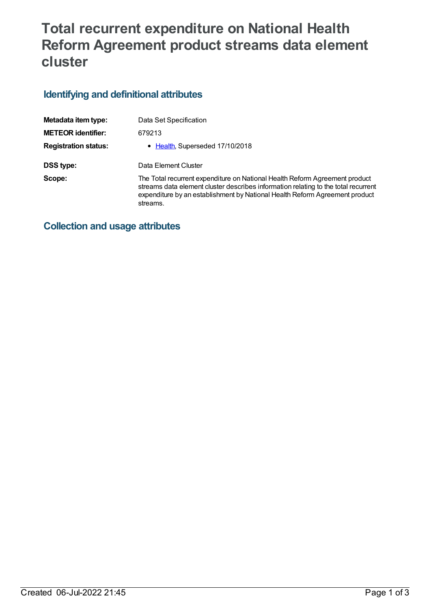# **Total recurrent expenditure on National Health Reform Agreement product streams data element cluster**

## **Identifying and definitional attributes**

| Metadata item type:         | Data Set Specification                                                                                                                                                                                                                                       |
|-----------------------------|--------------------------------------------------------------------------------------------------------------------------------------------------------------------------------------------------------------------------------------------------------------|
| <b>METEOR identifier:</b>   | 679213                                                                                                                                                                                                                                                       |
| <b>Registration status:</b> | • Health, Superseded 17/10/2018                                                                                                                                                                                                                              |
| DSS type:                   | Data Element Cluster                                                                                                                                                                                                                                         |
| Scope:                      | The Total recurrent expenditure on National Health Reform Agreement product<br>streams data element cluster describes information relating to the total recurrent<br>expenditure by an establishment by National Health Reform Agreement product<br>streams. |

### **Collection and usage attributes**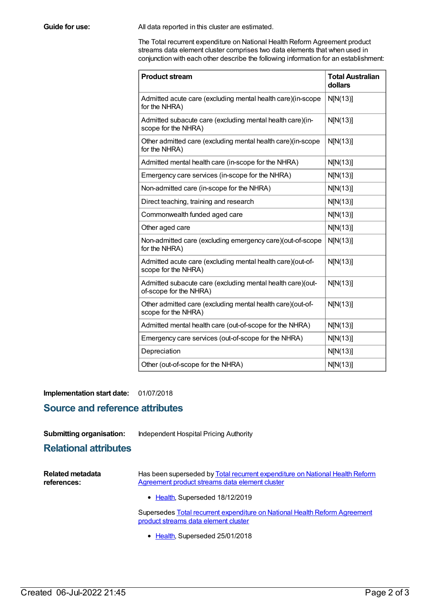**Guide for use:** All data reported in this cluster are estimated.

The Total recurrent expenditure on National Health Reform Agreement product streams data element cluster comprises two data elements that when used in conjunction with each other describe the following information for an establishment:

| <b>Product stream</b>                                                                | <b>Total Australian</b><br>dollars |
|--------------------------------------------------------------------------------------|------------------------------------|
| Admitted acute care (excluding mental health care)(in-scope<br>for the NHRA)         | N[N(13)]                           |
| Admitted subacute care (excluding mental health care)(in-<br>scope for the NHRA)     | N[N(13)]                           |
| Other admitted care (excluding mental health care)(in-scope<br>for the NHRA)         | N[N(13)]                           |
| Admitted mental health care (in-scope for the NHRA)                                  | N[N(13)]                           |
| Emergency care services (in-scope for the NHRA)                                      | N[N(13)]                           |
| Non-admitted care (in-scope for the NHRA)                                            | N[N(13)]                           |
| Direct teaching, training and research                                               | N[N(13)]                           |
| Commonwealth funded aged care                                                        | N[N(13)]                           |
| Other aged care                                                                      | N[N(13)]                           |
| Non-admitted care (excluding emergency care)(out-of-scope<br>for the NHRA)           | N[N(13)]                           |
| Admitted acute care (excluding mental health care)(out-of-<br>scope for the NHRA)    | N[N(13)]                           |
| Admitted subacute care (excluding mental health care)(out-<br>of-scope for the NHRA) | N[N(13)]                           |
| Other admitted care (excluding mental health care)(out-of-<br>scope for the NHRA)    | N[N(13)]                           |
| Admitted mental health care (out-of-scope for the NHRA)                              | N[N(13)]                           |
| Emergency care services (out-of-scope for the NHRA)                                  | N[N(13)]                           |
| Depreciation                                                                         | N[N(13)]                           |
| Other (out-of-scope for the NHRA)                                                    | N[N(13)]                           |

**Implementation start date:** 01/07/2018

### **Source and reference attributes**

#### **Submitting organisation:** Independent Hospital Pricing Authority

### **Relational attributes**

| <b>Related metadata</b><br>references: | Has been superseded by Total recurrent expenditure on National Health Reform<br>Agreement product streams data element cluster |  |
|----------------------------------------|--------------------------------------------------------------------------------------------------------------------------------|--|
|                                        | • Health, Superseded 18/12/2019                                                                                                |  |
|                                        | Cunomodoo Total noo waant o mondituro on Notional Loolth Defense Agrooment                                                     |  |

[Supersedes](https://meteor.aihw.gov.au/content/643016) Total recurrent expenditure on National Health Reform Agreement product streams data element cluster

• [Health](https://meteor.aihw.gov.au/RegistrationAuthority/12), Superseded 25/01/2018